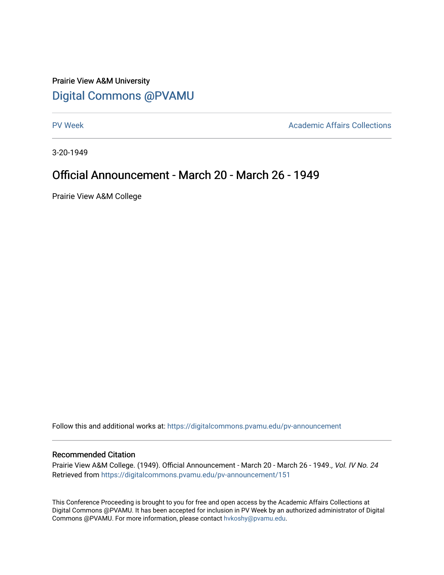# Prairie View A&M University [Digital Commons @PVAMU](https://digitalcommons.pvamu.edu/)

[PV Week](https://digitalcommons.pvamu.edu/pv-announcement) **Academic Affairs Collections** 

3-20-1949

# Official Announcement - March 20 - March 26 - 1949

Prairie View A&M College

Follow this and additional works at: [https://digitalcommons.pvamu.edu/pv-announcement](https://digitalcommons.pvamu.edu/pv-announcement?utm_source=digitalcommons.pvamu.edu%2Fpv-announcement%2F151&utm_medium=PDF&utm_campaign=PDFCoverPages) 

## Recommended Citation

Prairie View A&M College. (1949). Official Announcement - March 20 - March 26 - 1949., Vol. IV No. 24 Retrieved from [https://digitalcommons.pvamu.edu/pv-announcement/151](https://digitalcommons.pvamu.edu/pv-announcement/151?utm_source=digitalcommons.pvamu.edu%2Fpv-announcement%2F151&utm_medium=PDF&utm_campaign=PDFCoverPages) 

This Conference Proceeding is brought to you for free and open access by the Academic Affairs Collections at Digital Commons @PVAMU. It has been accepted for inclusion in PV Week by an authorized administrator of Digital Commons @PVAMU. For more information, please contact [hvkoshy@pvamu.edu.](mailto:hvkoshy@pvamu.edu)